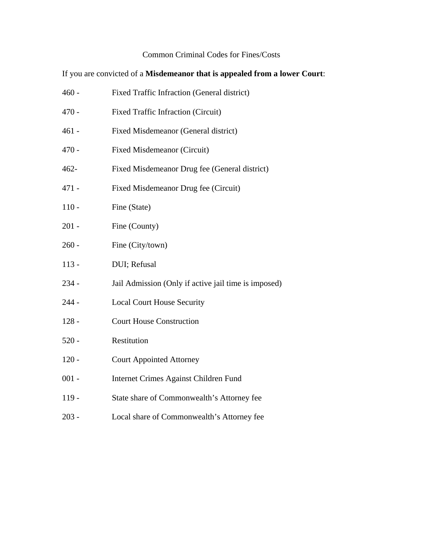## Common Criminal Codes for Fines/Costs

If you are convicted of a **Misdemeanor that is appealed from a lower Court**:

| 460 -   | Fixed Traffic Infraction (General district)          |
|---------|------------------------------------------------------|
| 470 -   | <b>Fixed Traffic Infraction (Circuit)</b>            |
| 461 -   | Fixed Misdemeanor (General district)                 |
| 470 -   | <b>Fixed Misdemeanor (Circuit)</b>                   |
| 462-    | Fixed Misdemeanor Drug fee (General district)        |
| 471 -   | Fixed Misdemeanor Drug fee (Circuit)                 |
| $110 -$ | Fine (State)                                         |
| 201 -   | Fine (County)                                        |
| 260 -   | Fine (City/town)                                     |
| $113 -$ | DUI; Refusal                                         |
| 234 -   | Jail Admission (Only if active jail time is imposed) |
| 244 -   | <b>Local Court House Security</b>                    |
| $128 -$ | <b>Court House Construction</b>                      |
| $520 -$ | Restitution                                          |
| $120 -$ | <b>Court Appointed Attorney</b>                      |
| $001 -$ | Internet Crimes Against Children Fund                |
| $119 -$ | State share of Commonwealth's Attorney fee           |
|         |                                                      |

203 - Local share of Commonwealth's Attorney fee